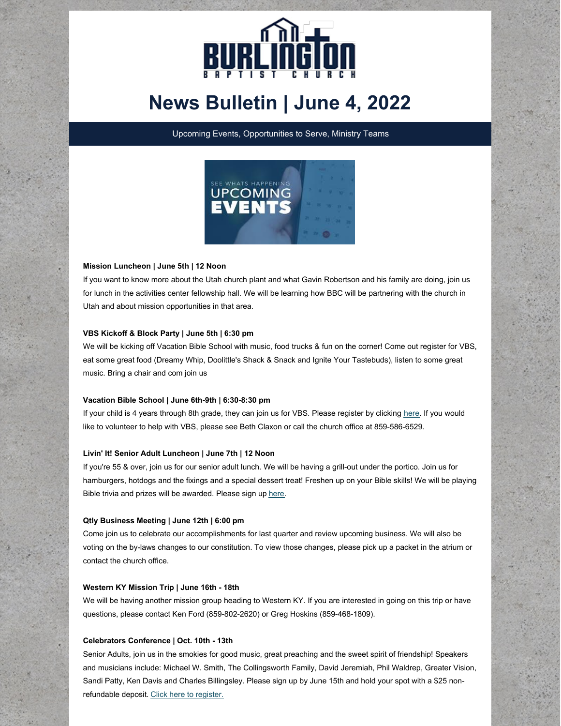

# **News Bulletin | June 4, 2022**

Upcoming Events, Opportunities to Serve, Ministry Teams



## **Mission Luncheon | June 5th | 12 Noon**

If you want to know more about the Utah church plant and what Gavin Robertson and his family are doing, join us for lunch in the activities center fellowship hall. We will be learning how BBC will be partnering with the church in Utah and about mission opportunities in that area.

## **VBS Kickoff & Block Party | June 5th | 6:30 pm**

We will be kicking off Vacation Bible School with music, food trucks & fun on the corner! Come out register for VBS, eat some great food (Dreamy Whip, Doolittle's Shack & Snack and Ignite Your Tastebuds), listen to some great music. Bring a chair and com join us

## **Vacation Bible School | June 6th-9th | 6:30-8:30 pm**

If your child is 4 years through 8th grade, they can join us for VBS. Please register by clicking [here](https://kideventpro.lifeway.com/myEvent/?id=63967). If you would like to volunteer to help with VBS, please see Beth Claxon or call the church office at 859-586-6529.

## **Livin' It! Senior Adult Luncheon | June 7th | 12 Noon**

If you're 55 & over, join us for our senior adult lunch. We will be having a grill-out under the portico. Join us for hamburgers, hotdogs and the fixings and a special dessert treat! Freshen up on your Bible skills! We will be playing Bible trivia and prizes will be awarded. Please sign up [here](https://onrealm.org/burlingtonbaptist/PublicRegistrations/Event?linkString=MzYzOWVmMjgtMWYzYS00NjI1LTgzMTYtYWVhMDAxMTM4ZGI1).

## **Qtly Business Meeting | June 12th | 6:00 pm**

Come join us to celebrate our accomplishments for last quarter and review upcoming business. We will also be voting on the by-laws changes to our constitution. To view those changes, please pick up a packet in the atrium or contact the church office.

## **Western KY Mission Trip | June 16th - 18th**

We will be having another mission group heading to Western KY. If you are interested in going on this trip or have questions, please contact Ken Ford (859-802-2620) or Greg Hoskins (859-468-1809).

## **Celebrators Conference | Oct. 10th - 13th**

Senior Adults, join us in the smokies for good music, great preaching and the sweet spirit of friendship! Speakers and musicians include: Michael W. Smith, The Collingsworth Family, David Jeremiah, Phil Waldrep, Greater Vision, Sandi Patty, Ken Davis and Charles Billingsley. Please sign up by June 15th and hold your spot with a \$25 nonrefundable deposit. Click here to [register.](https://onrealm.org/burlingtonbaptist/PublicRegistrations/Event?linkString=YmJmY2JiYTktNTcxMS00MGZlLWIwNTUtYWU5OTAxNTUzZGM1)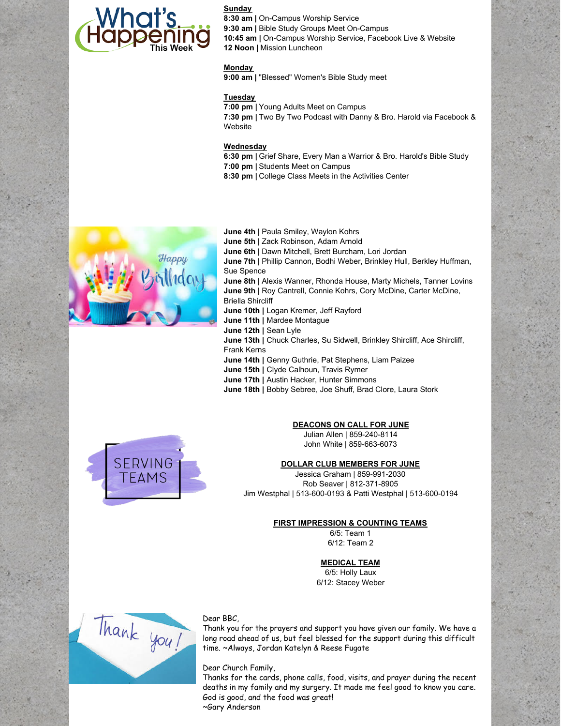

**Sunday 8:30 am |** On-Campus Worship Service **9:30 am |** Bible Study Groups Meet On-Campus **10:45 am |** On-Campus Worship Service, Facebook Live & Website **12 Noon |** Mission Luncheon

## **Monday**

**9:00 am |** "Blessed" Women's Bible Study meet

## **Tuesday**

**7:00 pm |** Young Adults Meet on Campus

**7:30 pm |** Two By Two Podcast with Danny & Bro. Harold via Facebook & Website

## **Wednesday**

- **6:30 pm |** Grief Share, Every Man a Warrior & Bro. Harold's Bible Study
- **7:00 pm |** Students Meet on Campus **8:30 pm |** College Class Meets in the Activities Center



**June 4th |** Paula Smiley, Waylon Kohrs **June 5th |** Zack Robinson, Adam Arnold **June 6th |** Dawn Mitchell, Brett Burcham, Lori Jordan **June 7th |** Phillip Cannon, Bodhi Weber, Brinkley Hull, Berkley Huffman, Sue Spence **June 8th |** Alexis Wanner, Rhonda House, Marty Michels, Tanner Lovins **June 9th |** Roy Cantrell, Connie Kohrs, Cory McDine, Carter McDine, Briella Shircliff **June 10th |** Logan Kremer, Jeff Rayford **June 11th |** Mardee Montague **June 12th |** Sean Lyle **June 13th |** Chuck Charles, Su Sidwell, Brinkley Shircliff, Ace Shircliff, Frank Kerns **June 14th |** Genny Guthrie, Pat Stephens, Liam Paizee **June 15th |** Clyde Calhoun, Travis Rymer **June 17th |** Austin Hacker, Hunter Simmons **June 18th |** Bobby Sebree, Joe Shuff, Brad Clore, Laura Stork



## **DEACONS ON CALL FOR JUNE**

Julian Allen | 859-240-8114 John White | 859-663-6073

## **DOLLAR CLUB MEMBERS FOR JUNE**

Jessica Graham | 859-991-2030 Rob Seaver | 812-371-8905 Jim Westphal | 513-600-0193 & Patti Westphal | 513-600-0194

## **FIRST IMPRESSION & COUNTING TEAMS**

6/5: Team 1 6/12: Team 2

## **MEDICAL TEAM**

6/5: Holly Laux 6/12: Stacey Weber



## Dear BBC,

Thank you for the prayers and support you have given our family. We have a long road ahead of us, but feel blessed for the support during this difficult time. ~Always, Jordan Katelyn & Reese Fugate

Dear Church Family,

Thanks for the cards, phone calls, food, visits, and prayer during the recent deaths in my family and my surgery. It made me feel good to know you care. God is good, and the food was great! ~Gary Anderson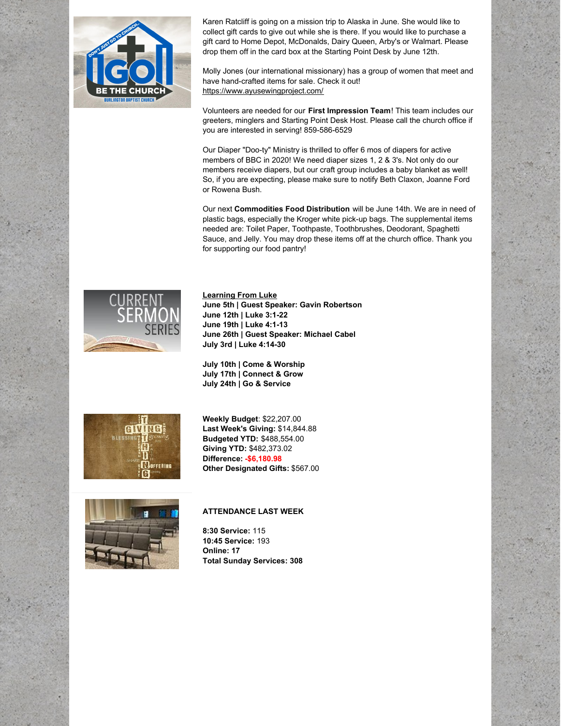

Karen Ratcliff is going on a mission trip to Alaska in June. She would like to collect gift cards to give out while she is there. If you would like to purchase a gift card to Home Depot, McDonalds, Dairy Queen, Arby's or Walmart. Please drop them off in the card box at the Starting Point Desk by June 12th.

Molly Jones (our international missionary) has a group of women that meet and have hand-crafted items for sale. Check it out! <https://www.ayusewingproject.com/>

Volunteers are needed for our **First Impression Team**! This team includes our greeters, minglers and Starting Point Desk Host. Please call the church office if you are interested in serving! 859-586-6529

Our Diaper "Doo-ty" Ministry is thrilled to offer 6 mos of diapers for active members of BBC in 2020! We need diaper sizes 1, 2 & 3's. Not only do our members receive diapers, but our craft group includes a baby blanket as well! So, if you are expecting, please make sure to notify Beth Claxon, Joanne Ford or Rowena Bush.

Our next **Commodities Food Distribution** will be June 14th. We are in need of plastic bags, especially the Kroger white pick-up bags. The supplemental items needed are: Toilet Paper, Toothpaste, Toothbrushes, Deodorant, Spaghetti Sauce, and Jelly. You may drop these items off at the church office. Thank you for supporting our food pantry!



**Learning From Luke June 5th | Guest Speaker: Gavin Robertson June 12th | Luke 3:1-22 June 19th | Luke 4:1-13 June 26th | Guest Speaker: Michael Cabel July 3rd | Luke 4:14-30**

**July 10th | Come & Worship July 17th | Connect & Grow July 24th | Go & Service**



**Weekly Budget**: \$22,207.00 **Last Week's Giving:** \$14,844.88 **Budgeted YTD:** \$488,554.00 **Giving YTD:** \$482,373.02 **Difference: -\$6,180.98 Other Designated Gifts:** \$567.00



## **ATTENDANCE LAST WEEK**

**8:30 Service:** 115 **10:45 Service:** 193 **Online: 17 Total Sunday Services: 308**